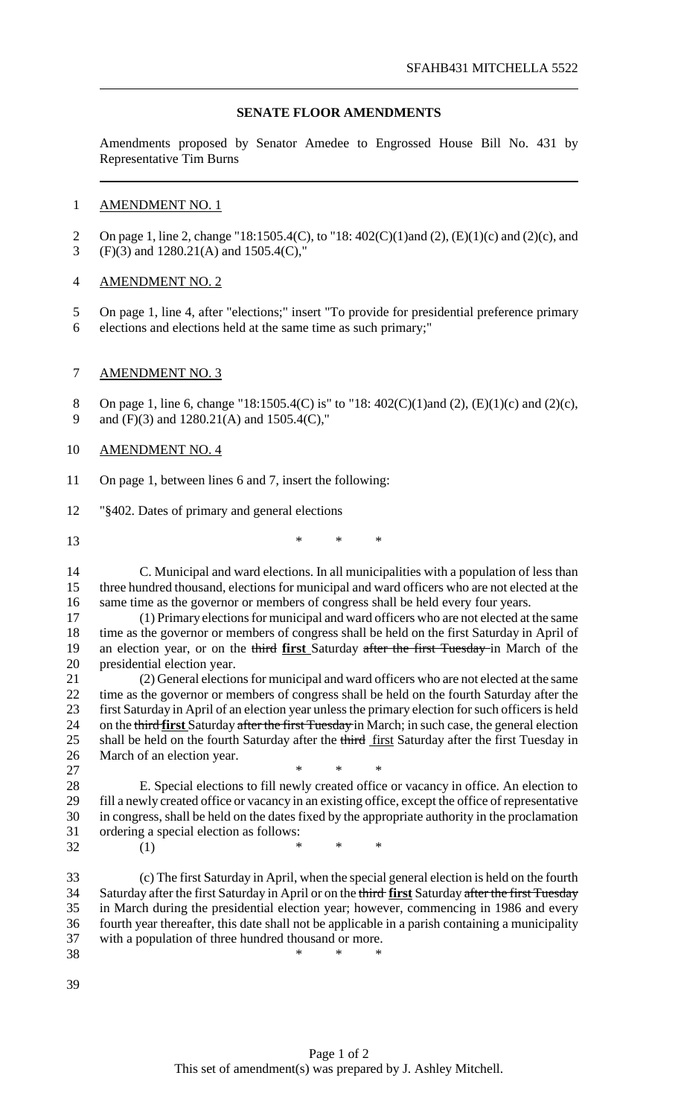## **SENATE FLOOR AMENDMENTS**

Amendments proposed by Senator Amedee to Engrossed House Bill No. 431 by Representative Tim Burns

## AMENDMENT NO. 1

- On page 1, line 2, change "18:1505.4(C), to "18: 402(C)(1)and (2), (E)(1)(c) and (2)(c), and (F)(3) and 1280.21(A) and 1505.4(C),"
- AMENDMENT NO. 2
- On page 1, line 4, after "elections;" insert "To provide for presidential preference primary
- elections and elections held at the same time as such primary;"

## AMENDMENT NO. 3

8 On page 1, line 6, change "18:1505.4(C) is" to "18: 402(C)(1)and (2), (E)(1)(c) and (2)(c), and (F)(3) and 1280.21(A) and 1505.4(C),"

## AMENDMENT NO. 4

- On page 1, between lines 6 and 7, insert the following:
- "§402. Dates of primary and general elections
- \* \* \*

 C. Municipal and ward elections. In all municipalities with a population of less than three hundred thousand, elections for municipal and ward officers who are not elected at the same time as the governor or members of congress shall be held every four years.

 (1) Primary electionsfor municipal and ward officers who are not elected at the same time as the governor or members of congress shall be held on the first Saturday in April of an election year, or on the third **first** Saturday after the first Tuesday in March of the presidential election year.

21 (2) General elections for municipal and ward officers who are not elected at the same<br>22 time as the governor or members of congress shall be held on the fourth Saturday after the time as the governor or members of congress shall be held on the fourth Saturday after the 23 first Saturday in April of an election year unless the primary election for such officers is held on the third **first** Saturday after the first Tuesday in March; in such case, the general election 25 shall be held on the fourth Saturday after the third first Saturday after the first Tuesday in March of an election year.

 $\qquad \qquad \ast \qquad \ast \qquad \ast$  E. Special elections to fill newly created office or vacancy in office. An election to fill a newly created office or vacancy in an existing office, except the office of representative in congress, shall be held on the dates fixed by the appropriate authority in the proclamation ordering a special election as follows: (1) \* \* \*

 (c) The first Saturday in April, when the special general election is held on the fourth Saturday after the first Saturday in April or on the third **first** Saturday after the first Tuesday in March during the presidential election year; however, commencing in 1986 and every fourth year thereafter, this date shall not be applicable in a parish containing a municipality with a population of three hundred thousand or more.  $*$  \* \* \*

- 
-